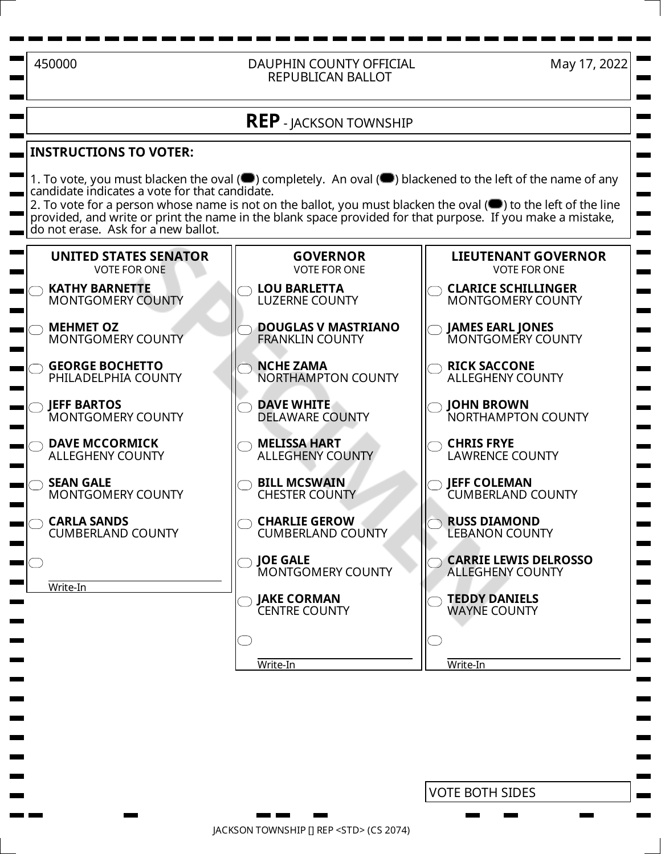## 450000 DAUPHIN COUNTY OFFICIAL REPUBLICAN BALLOT

May 17, 2022

## **REP** - JACKSON TOWNSHIP

## **INSTRUCTIONS TO VOTER:**

1. To vote, you must blacken the oval (C) completely. An oval (C) blackened to the left of the name of any candidate indicates a vote for that candidate.

2. To vote for a person whose name is not on the ballot, you must blacken the oval  $($ **)** to the left of the line provided, and write or print the name in the blank space provided for that purpose. If you make a mistake, do not erase. Ask for a new ballot.



VOTE BOTH SIDES